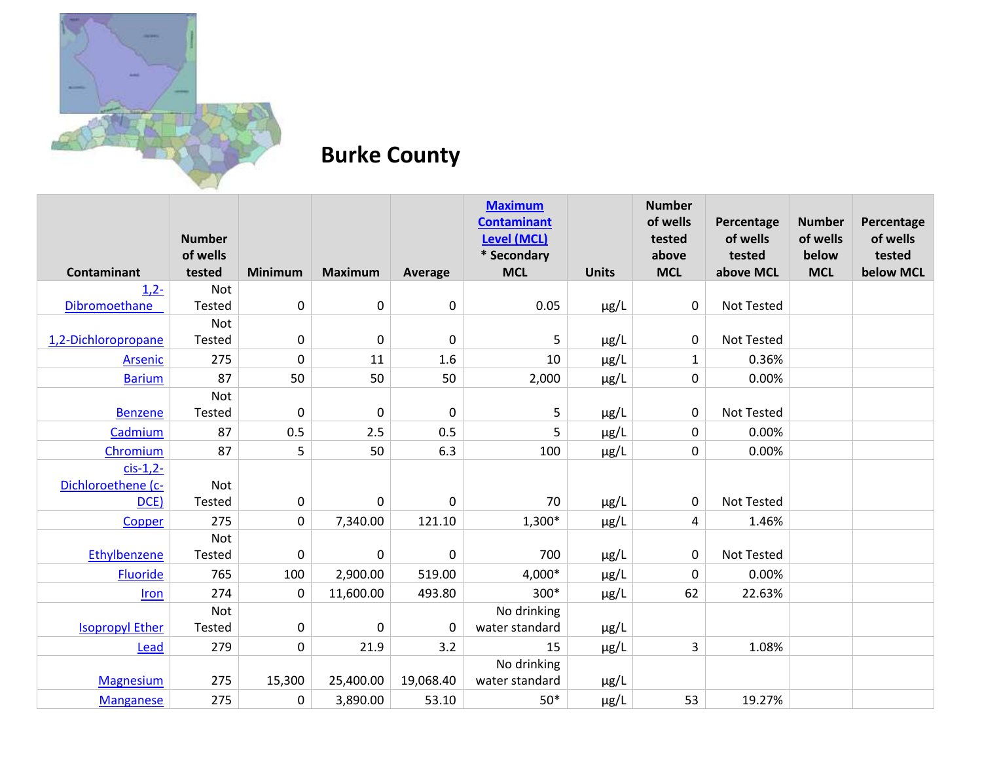

## **Burke County**

|                        | <b>Number</b>      |             |                  |             | <b>Maximum</b><br><b>Contaminant</b><br><b>Level (MCL)</b> |              | <b>Number</b><br>of wells<br>tested | Percentage<br>of wells | <b>Number</b><br>of wells | Percentage<br>of wells |
|------------------------|--------------------|-------------|------------------|-------------|------------------------------------------------------------|--------------|-------------------------------------|------------------------|---------------------------|------------------------|
| <b>Contaminant</b>     | of wells<br>tested | Minimum     | <b>Maximum</b>   | Average     | * Secondary<br><b>MCL</b>                                  | <b>Units</b> | above<br><b>MCL</b>                 | tested<br>above MCL    | below<br><b>MCL</b>       | tested<br>below MCL    |
| $1,2-$                 | <b>Not</b>         |             |                  |             |                                                            |              |                                     |                        |                           |                        |
| Dibromoethane          | Tested             | 0           | $\boldsymbol{0}$ | $\pmb{0}$   | 0.05                                                       | $\mu$ g/L    | 0                                   | <b>Not Tested</b>      |                           |                        |
|                        | <b>Not</b>         |             |                  |             |                                                            |              |                                     |                        |                           |                        |
| 1,2-Dichloropropane    | Tested             | 0           | $\mathbf 0$      | $\mathbf 0$ | 5                                                          | µg/L         | 0                                   | Not Tested             |                           |                        |
| Arsenic                | 275                | $\pmb{0}$   | 11               | 1.6         | 10                                                         | $\mu$ g/L    | $\mathbf{1}$                        | 0.36%                  |                           |                        |
| <b>Barium</b>          | 87                 | 50          | 50               | 50          | 2,000                                                      | $\mu$ g/L    | 0                                   | 0.00%                  |                           |                        |
|                        | Not                |             |                  |             |                                                            |              |                                     |                        |                           |                        |
| <b>Benzene</b>         | Tested             | 0           | $\mathbf 0$      | $\mathbf 0$ | 5                                                          | $\mu$ g/L    | 0                                   | Not Tested             |                           |                        |
| Cadmium                | 87                 | 0.5         | 2.5              | 0.5         | 5                                                          | µg/L         | 0                                   | 0.00%                  |                           |                        |
| Chromium               | 87                 | 5           | 50               | 6.3         | 100                                                        | µg/L         | 0                                   | 0.00%                  |                           |                        |
| $cis-1,2$ -            |                    |             |                  |             |                                                            |              |                                     |                        |                           |                        |
| Dichloroethene (c-     | Not                |             |                  |             |                                                            |              |                                     |                        |                           |                        |
| DCE)                   | Tested             | 0           | $\mathbf 0$      | $\mathbf 0$ | 70                                                         | $\mu$ g/L    | 0                                   | <b>Not Tested</b>      |                           |                        |
| Copper                 | 275                | $\mathbf 0$ | 7,340.00         | 121.10      | 1,300*                                                     | $\mu$ g/L    | 4                                   | 1.46%                  |                           |                        |
|                        | Not                |             |                  |             |                                                            |              |                                     |                        |                           |                        |
| Ethylbenzene           | Tested             | 0           | $\mathbf 0$      | $\mathbf 0$ | 700                                                        | $\mu$ g/L    | 0                                   | <b>Not Tested</b>      |                           |                        |
| Fluoride               | 765                | 100         | 2,900.00         | 519.00      | 4,000*                                                     | $\mu$ g/L    | 0                                   | 0.00%                  |                           |                        |
| Iron                   | 274                | $\pmb{0}$   | 11,600.00        | 493.80      | 300*                                                       | $\mu$ g/L    | 62                                  | 22.63%                 |                           |                        |
|                        | <b>Not</b>         |             |                  |             | No drinking                                                |              |                                     |                        |                           |                        |
| <b>Isopropyl Ether</b> | Tested             | 0           | 0                | $\mathbf 0$ | water standard                                             | $\mu$ g/L    |                                     |                        |                           |                        |
| Lead                   | 279                | $\pmb{0}$   | 21.9             | 3.2         | 15                                                         | $\mu$ g/L    | 3                                   | 1.08%                  |                           |                        |
|                        |                    |             |                  |             | No drinking                                                |              |                                     |                        |                           |                        |
| <b>Magnesium</b>       | 275                | 15,300      | 25,400.00        | 19,068.40   | water standard                                             | $\mu$ g/L    |                                     |                        |                           |                        |
| <b>Manganese</b>       | 275                | 0           | 3,890.00         | 53.10       | $50*$                                                      | $\mu$ g/L    | 53                                  | 19.27%                 |                           |                        |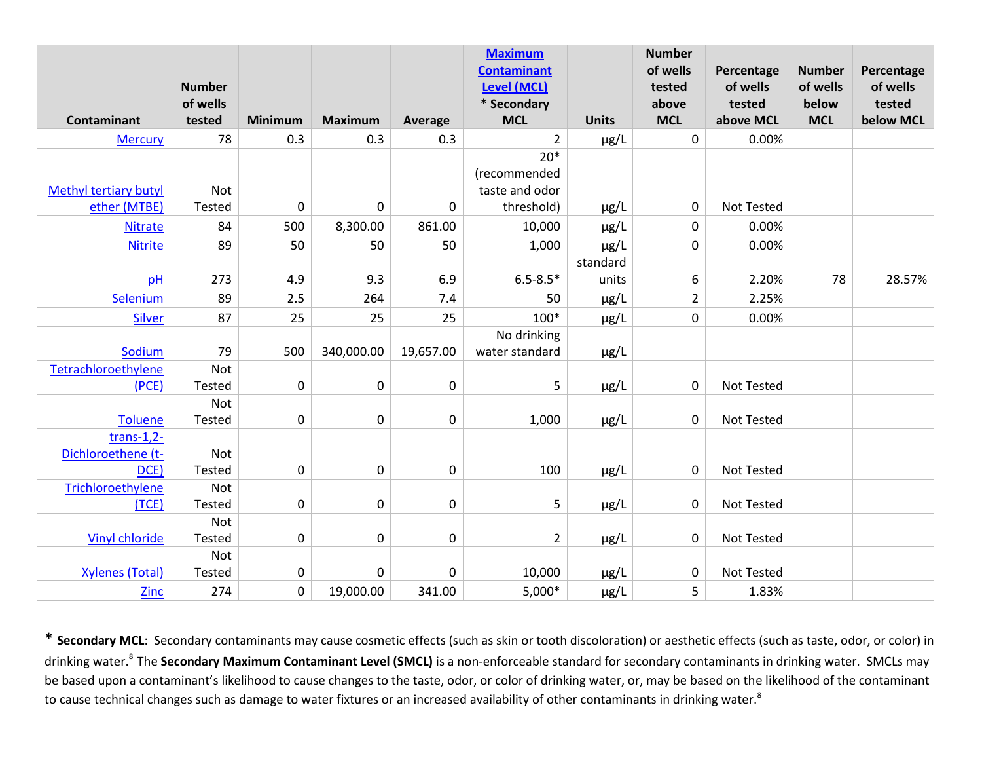|                              | <b>Number</b>      |                |                |                  | <b>Maximum</b><br><b>Contaminant</b><br><b>Level (MCL)</b> |                   | <b>Number</b><br>of wells<br>tested | Percentage<br>of wells | <b>Number</b><br>of wells | Percentage<br>of wells |
|------------------------------|--------------------|----------------|----------------|------------------|------------------------------------------------------------|-------------------|-------------------------------------|------------------------|---------------------------|------------------------|
| <b>Contaminant</b>           | of wells<br>tested | <b>Minimum</b> | <b>Maximum</b> | Average          | * Secondary<br><b>MCL</b>                                  | <b>Units</b>      | above<br><b>MCL</b>                 | tested<br>above MCL    | below<br><b>MCL</b>       | tested<br>below MCL    |
| <b>Mercury</b>               | 78                 | 0.3            | 0.3            | 0.3              | $\overline{2}$                                             | $\mu$ g/L         | $\mathbf 0$                         | 0.00%                  |                           |                        |
| <b>Methyl tertiary butyl</b> | Not                |                |                |                  | $20*$<br>(recommended<br>taste and odor                    |                   |                                     |                        |                           |                        |
| ether (MTBE)                 | Tested             | $\pmb{0}$      | $\mathbf 0$    | $\mathbf 0$      | threshold)                                                 | $\mu$ g/L         | $\pmb{0}$                           | <b>Not Tested</b>      |                           |                        |
| <b>Nitrate</b>               | 84                 | 500            | 8,300.00       | 861.00           | 10,000                                                     | $\mu$ g/L         | $\pmb{0}$                           | 0.00%                  |                           |                        |
| <b>Nitrite</b>               | 89                 | 50             | 50             | 50               | 1,000                                                      | $\mu$ g/L         | 0                                   | 0.00%                  |                           |                        |
| pH                           | 273                | 4.9            | 9.3            | 6.9              | $6.5 - 8.5*$                                               | standard<br>units | 6                                   | 2.20%                  | 78                        | 28.57%                 |
| Selenium                     | 89                 | 2.5            | 264            | 7.4              | 50                                                         | $\mu$ g/L         | $\overline{2}$                      | 2.25%                  |                           |                        |
| Silver                       | 87                 | 25             | 25             | 25               | $100*$                                                     | $\mu$ g/L         | $\mathbf 0$                         | 0.00%                  |                           |                        |
|                              |                    |                |                |                  | No drinking                                                |                   |                                     |                        |                           |                        |
| Sodium                       | 79                 | 500            | 340,000.00     | 19,657.00        | water standard                                             | $\mu$ g/L         |                                     |                        |                           |                        |
| Tetrachloroethylene<br>(PCE) | Not<br>Tested      | $\pmb{0}$      | $\pmb{0}$      | $\pmb{0}$        | 5                                                          | $\mu$ g/L         | $\pmb{0}$                           | <b>Not Tested</b>      |                           |                        |
|                              | Not                |                |                |                  |                                                            |                   |                                     |                        |                           |                        |
| <b>Toluene</b>               | Tested             | $\pmb{0}$      | $\mathbf 0$    | $\mathbf 0$      | 1,000                                                      | $\mu$ g/L         | $\pmb{0}$                           | <b>Not Tested</b>      |                           |                        |
| $trans-1,2-$                 |                    |                |                |                  |                                                            |                   |                                     |                        |                           |                        |
| Dichloroethene (t-           | Not                |                |                |                  |                                                            |                   |                                     |                        |                           |                        |
| DCE)                         | Tested             | $\pmb{0}$      | $\pmb{0}$      | $\mathbf 0$      | 100                                                        | $\mu$ g/L         | 0                                   | <b>Not Tested</b>      |                           |                        |
| Trichloroethylene            | Not                |                |                |                  |                                                            |                   |                                     |                        |                           |                        |
| (TCE)                        | Tested<br>Not      | $\pmb{0}$      | $\pmb{0}$      | $\boldsymbol{0}$ | 5                                                          | $\mu$ g/L         | $\pmb{0}$                           | Not Tested             |                           |                        |
| <b>Vinyl chloride</b>        | Tested             | $\pmb{0}$      | $\mathbf 0$    | $\mathbf 0$      | $\overline{2}$                                             | $\mu$ g/L         | $\pmb{0}$                           | Not Tested             |                           |                        |
|                              | Not                |                |                |                  |                                                            |                   |                                     |                        |                           |                        |
| <b>Xylenes (Total)</b>       | Tested             | $\pmb{0}$      | $\mathbf 0$    | $\mathbf 0$      | 10,000                                                     | $\mu$ g/L         | 0                                   | Not Tested             |                           |                        |
| <b>Zinc</b>                  | 274                | $\pmb{0}$      | 19,000.00      | 341.00           | $5,000*$                                                   | $\mu$ g/L         | 5                                   | 1.83%                  |                           |                        |

\* **Secondary MCL**: Secondary contaminants may cause cosmetic effects (such as skin or tooth discoloration) or aesthetic effects (such as taste, odor, or color) in drinking water.<sup>8</sup>The **Secondary Maximum Contaminant Level (SMCL)** is a non-enforceable standard for secondary contaminants in drinking water. SMCLs may be based upon a contaminant's likelihood to cause changes to the taste, odor, or color of drinking water, or, may be based on the likelihood of the contaminant to cause technical changes such as damage to water fixtures or an increased availability of other contaminants in drinking water.<sup>8</sup>